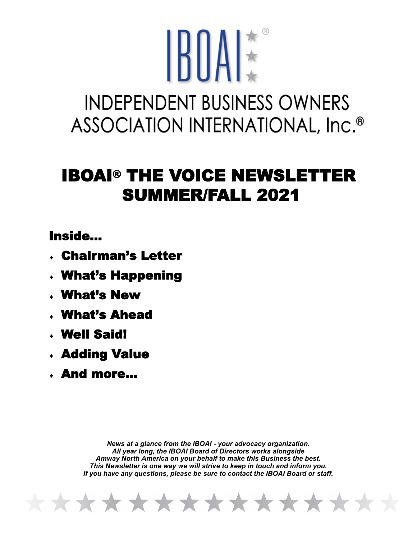## IBIIAE **INDEPENDENT BUSINESS OWNERS** ASSOCIATION INTERNATIONAL, Inc.<sup>®</sup>

## IBOAI® THE VOICE NEWSLETTER SUMMER/FALL 2021

Inside...

- Chairman's Letter
- What's Happening
- What's New
- What's Ahead
- Well Said!
- Adding Value
- And more...

*News at a glance from the IBOAI - your advocacy organization. All year long, the IBOAI Board of Directors works alongside Amway North America on your behalf to make this Business the best. This Newsletter is one way we will strive to keep in touch and inform you. If you have any questions, please be sure to contact the IBOAI Board or staff.* 

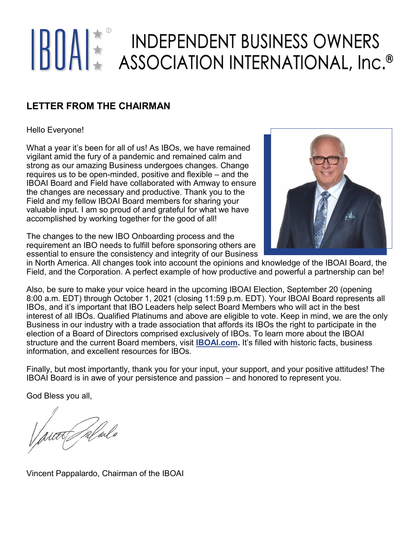# **BUAL ASSOCIATION INTERNATIONAL, Inc.<sup>®</sup>**

#### **LETTER FROM THE CHAIRMAN**

#### Hello Everyone!

What a year it's been for all of us! As IBOs, we have remained vigilant amid the fury of a pandemic and remained calm and strong as our amazing Business undergoes changes. Change requires us to be open-minded, positive and flexible – and the IBOAI Board and Field have collaborated with Amway to ensure the changes are necessary and productive. Thank you to the Field and my fellow IBOAI Board members for sharing your valuable input. I am so proud of and grateful for what we have accomplished by working together for the good of all!



The changes to the new IBO Onboarding process and the requirement an IBO needs to fulfill before sponsoring others are essential to ensure the consistency and integrity of our Business

in North America. All changes took into account the opinions and knowledge of the IBOAI Board, the Field, and the Corporation. A perfect example of how productive and powerful a partnership can be!

Also, be sure to make your voice heard in the upcoming IBOAI Election, September 20 (opening 8:00 a.m. EDT) through October 1, 2021 (closing 11:59 p.m. EDT). Your IBOAI Board represents all IBOs, and it's important that IBO Leaders help select Board Members who will act in the best interest of all IBOs. Qualified Platinums and above are eligible to vote. Keep in mind, we are the only Business in our industry with a trade association that affords its IBOs the right to participate in the election of a Board of Directors comprised exclusively of IBOs. To learn more about the IBOAI structure and the current Board members, visit **[IBOAI.com.](https://www.iboai.com/)** It's filled with historic facts, business information, and excellent resources for IBOs.

Finally, but most importantly, thank you for your input, your support, and your positive attitudes! The IBOAI Board is in awe of your persistence and passion – and honored to represent you.

God Bless you all,

TTS / M/ w/o

Vincent Pappalardo, Chairman of the IBOAI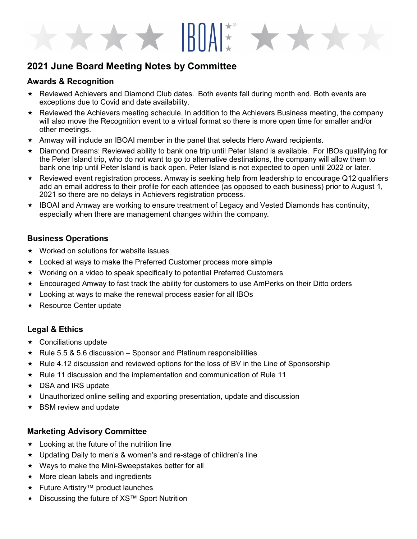### **2021 June Board Meeting Notes by Committee**

#### **Awards & Recognition**

 $\star$  Reviewed Achievers and Diamond Club dates. Both events fall during month end. Both events are exceptions due to Covid and date availability.

\*\*\* HIAN \*\*\*

- $\star$  Reviewed the Achievers meeting schedule. In addition to the Achievers Business meeting, the company will also move the Recognition event to a virtual format so there is more open time for smaller and/or other meetings.
- $\star$  Amway will include an IBOAI member in the panel that selects Hero Award recipients.
- Diamond Dreams: Reviewed ability to bank one trip until Peter Island is available. For IBOs qualifying for the Peter Island trip, who do not want to go to alternative destinations, the company will allow them to bank one trip until Peter Island is back open. Peter Island is not expected to open until 2022 or later.
- $\star$  Reviewed event registration process. Amway is seeking help from leadership to encourage Q12 qualifiers add an email address to their profile for each attendee (as opposed to each business) prior to August 1, 2021 so there are no delays in Achievers registration process.
- \* IBOAI and Amway are working to ensure treatment of Legacy and Vested Diamonds has continuity, especially when there are management changes within the company.

#### **Business Operations**

- $\star$  Worked on solutions for website issues
- Looked at ways to make the Preferred Customer process more simple
- Working on a video to speak specifically to potential Preferred Customers
- Encouraged Amway to fast track the ability for customers to use AmPerks on their Ditto orders
- $\star$  Looking at ways to make the renewal process easier for all IBOs
- ★ Resource Center update

#### **Legal & Ethics**

- $\star$  Conciliations update
- $\star$  Rule 5.5 & 5.6 discussion Sponsor and Platinum responsibilities
- Rule 4.12 discussion and reviewed options for the loss of BV in the Line of Sponsorship
- $\star$  Rule 11 discussion and the implementation and communication of Rule 11
- ★ DSA and IRS update
- $\star$  Unauthorized online selling and exporting presentation, update and discussion
- $\star$  BSM review and update

#### **Marketing Advisory Committee**

- $\star$  Looking at the future of the nutrition line
- Updating Daily to men's & women's and re-stage of children's line
- $\star$  Ways to make the Mini-Sweepstakes better for all
- $\star$  More clean labels and ingredients
- **★ Future Artistry™ product launches**
- Discussing the future of XS™ Sport Nutrition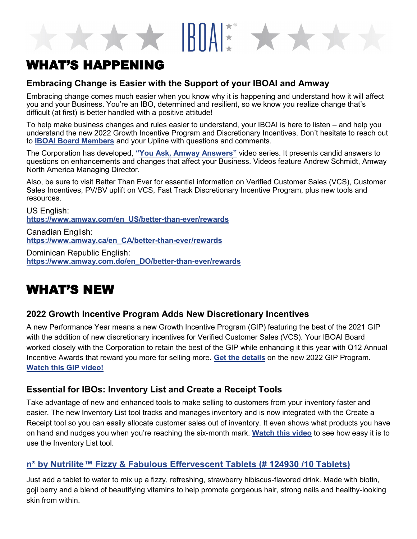## WHAT'S HAPPENING

#### **Embracing Change is Easier with the Support of your IBOAI and Amway**

Embracing change comes much easier when you know why it is happening and understand how it will affect you and your Business. You're an IBO, determined and resilient, so we know you realize change that's difficult (at first) is better handled with a positive attitude!

 $\star$   $\star$  IRMAN  $\star$ 

To help make business changes and rules easier to understand, your IBOAI is here to listen – and help you understand the new 2022 Growth Incentive Program and Discretionary Incentives. Don't hesitate to reach out to **[IBOAI Board Members](https://iboai.com/your-iboai-board/iboai-structure/board-of-directors)** and your Upline with questions and comments.

The Corporation has developed, **"[You Ask, Amway Answers](https://www.amway.com/en_US/better-than-ever/amway-answers)"** video series. It presents candid answers to questions on enhancements and changes that affect your Business. Videos feature Andrew Schmidt, Amway North America Managing Director.

Also, be sure to visit Better Than Ever for essential information on Verified Customer Sales (VCS), Customer Sales Incentives, PV/BV uplift on VCS, Fast Track Discretionary Incentive Program, plus new tools and resources.

US English: **[https://www.amway.com/en\\_US/better](https://www.amway.com/en_US/better-than-ever/rewards)-than-ever/rewards**

Canadian English: **[https://www.amway.ca/en\\_CA/better](https://www.amway.ca/en_CA/better-than-ever/rewards)-than-ever/rewards**

Dominican Republic English: **[https://www.amway.com.do/en\\_DO/better](https://www.amway.com.do/en_DO/better-than-ever/rewards)-than-ever/rewards**

## WHAT'S NEW

#### **2022 Growth Incentive Program Adds New Discretionary Incentives**

A new Performance Year means a new Growth Incentive Program (GIP) featuring the best of the 2021 GIP with the addition of new discretionary incentives for Verified Customer Sales (VCS). Your IBOAI Board worked closely with the Corporation to retain the best of the GIP while enhancing it this year with Q12 Annual Incentive Awards that reward you more for selling more. **[Get the details](https://amer-email-template-images-prod.s3.amazonaws.com/AME-3571565/A147612ENA_PY22Compensation.pdf?utm_source=business&utm_medium=email&utm_campaign=us_en_3571565&utm_content=2020gip)** on the new 2022 GIP Program. **[Watch this GIP video!](https://players.brightcove.net/1437117782001/HJSr7bMWb_default/index.html?videoId=6260707520001)**

#### **Essential for IBOs: Inventory List and Create a Receipt Tools**

Take advantage of new and enhanced tools to make selling to customers from your inventory faster and easier. The new Inventory List tool tracks and manages inventory and is now integrated with the Create a Receipt tool so you can easily allocate customer sales out of inventory. It even shows what products you have on hand and nudges you when you're reaching the six-month mark. **[Watch this video](https://players.brightcove.net/1437117780001/default_default/index.html?videoId=6255047985001&utm_source=weeklyupdate&utm_medium=email&utm_campaign=us_en_3542094&utm_content=inventory_list_cta)** to see how easy it is to use the Inventory List tool.

#### **n\* by Nutrilite™ [Fizzy & Fabulous Effervescent Tablets \(#](https://www.amway.com/en_US/n-by-Nutrilite™-Fizzy-%26-Fabulous-Effervescent-Tablets-p-124930?searchTerm=fizzy%20table) 124930 /10 Tablets)**

Just add a tablet to water to mix up a fizzy, refreshing, strawberry hibiscus-flavored drink. Made with biotin, goji berry and a blend of beautifying vitamins to help promote gorgeous hair, strong nails and healthy-looking skin from within.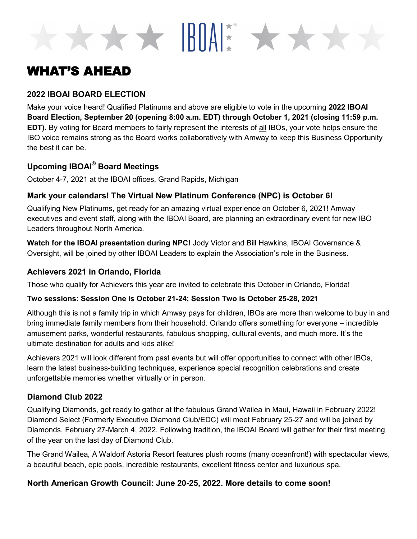## WHAT'S AHEAD

#### **2022 IBOAI BOARD ELECTION**

Make your voice heard! Qualified Platinums and above are eligible to vote in the upcoming **2022 IBOAI Board Election, September 20 (opening 8:00 a.m. EDT) through October 1, 2021 (closing 11:59 p.m. EDT).** By voting for Board members to fairly represent the interests of all IBOs, your vote helps ensure the IBO voice remains strong as the Board works collaboratively with Amway to keep this Business Opportunity the best it can be.

\*\*\* BOAK\* \*\*\*

#### **Upcoming IBOAI® Board Meetings**

October 4-7, 2021 at the IBOAI offices, Grand Rapids, Michigan

#### **Mark your calendars! The Virtual New Platinum Conference (NPC) is October 6!**

Qualifying New Platinums, get ready for an amazing virtual experience on October 6, 2021! Amway executives and event staff, along with the IBOAI Board, are planning an extraordinary event for new IBO Leaders throughout North America.

**Watch for the IBOAI presentation during NPC!** Jody Victor and Bill Hawkins, IBOAI Governance & Oversight, will be joined by other IBOAI Leaders to explain the Association's role in the Business.

#### **Achievers 2021 in Orlando, Florida**

Those who qualify for Achievers this year are invited to celebrate this October in Orlando, Florida!

#### **Two sessions: Session One is October 21-24; Session Two is October 25-28, 2021**

Although this is not a family trip in which Amway pays for children, IBOs are more than welcome to buy in and bring immediate family members from their household. Orlando offers something for everyone – incredible amusement parks, wonderful restaurants, fabulous shopping, cultural events, and much more. It's the ultimate destination for adults and kids alike!

Achievers 2021 will look different from past events but will offer opportunities to connect with other IBOs, learn the latest business-building techniques, experience special recognition celebrations and create unforgettable memories whether virtually or in person.

#### **Diamond Club 2022**

Qualifying Diamonds, get ready to gather at the fabulous Grand Wailea in Maui, Hawaii in February 2022! Diamond Select (Formerly Executive Diamond Club/EDC) will meet February 25-27 and will be joined by Diamonds, February 27-March 4, 2022. Following tradition, the IBOAI Board will gather for their first meeting of the year on the last day of Diamond Club.

The Grand Wailea, A Waldorf Astoria Resort features plush rooms (many oceanfront!) with spectacular views, a beautiful beach, epic pools, incredible restaurants, excellent fitness center and luxurious spa.

#### **North American Growth Council: June 20-25, 2022. More details to come soon!**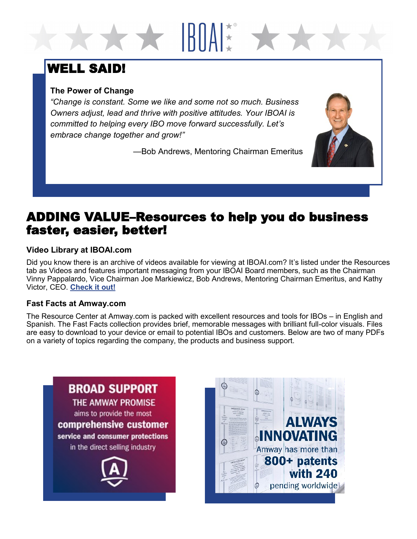## WELL SAID!

#### **The Power of Change**

*"Change is constant. Some we like and some not so much. Business Owners adjust, lead and thrive with positive attitudes. Your IBOAI is committed to helping every IBO move forward successfully. Let's embrace change together and grow!"*

—Bob Andrews, Mentoring Chairman Emeritus

**X** HIAN

## ADDING VALUE–Resources to help you do business faster, easier, better!

#### **Video Library at IBOAI.com**

Did you know there is an archive of videos available for viewing at IBOAI.com? It's listed under the Resources tab as Videos and features important messaging from your IBOAI Board members, such as the Chairman Vinny Pappalardo, Vice Chairman Joe Markiewicz, Bob Andrews, Mentoring Chairman Emeritus, and Kathy Victor, CEO. **[Check it out!](https://www.iboai.com/resources/videos/)**

#### **Fast Facts at Amway.com**

The Resource Center at Amway.com is packed with excellent resources and tools for IBOs – in English and Spanish. The Fast Facts collection provides brief, memorable messages with brilliant full-color visuals. Files are easy to download to your device or email to potential IBOs and customers. Below are two of many PDFs on a variety of topics regarding the company, the products and business support.